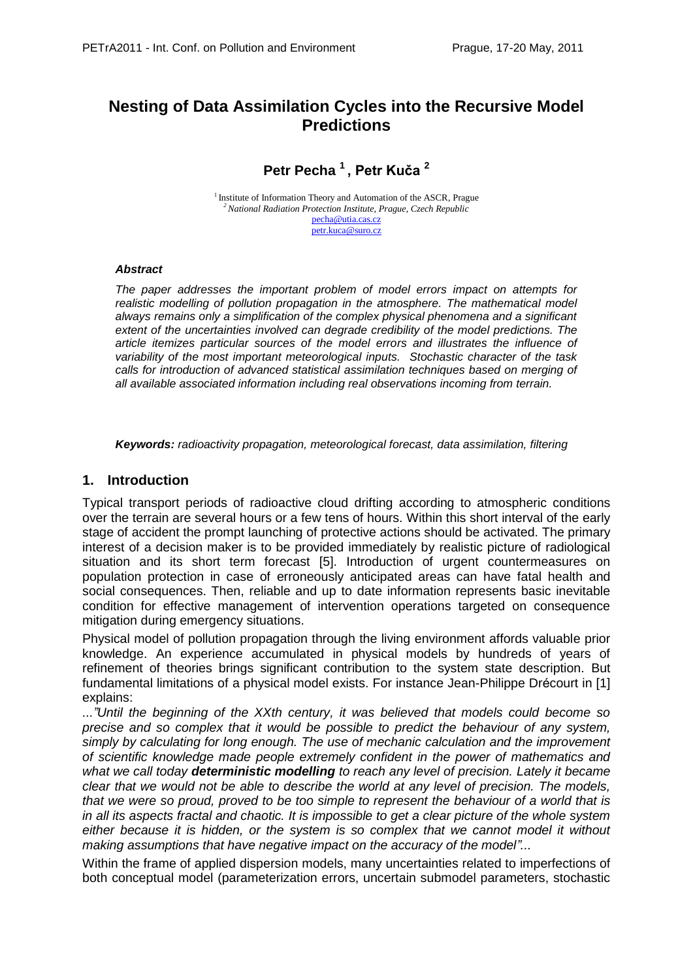# **Nesting of Data Assimilation Cycles into the Recursive Model Predictions**

**Petr Pecha <sup>1</sup>, Petr Kuča <sup>2</sup>**

<sup>1</sup> Institute of Information Theory and Automation of the ASCR, Prague *<sup>2</sup>National Radiation Protection Institute, Prague, Czech Republic* [pecha@utia.cas.cz](mailto:pecha@utia.cas.cz) [petr.kuca@suro.cz](mailto:petr.kuca@suro.cz)

#### *Abstract*

*The paper addresses the important problem of model errors impact on attempts for realistic modelling of pollution propagation in the atmosphere. The mathematical model always remains only a simplification of the complex physical phenomena and a significant extent of the uncertainties involved can degrade credibility of the model predictions. The article itemizes particular sources of the model errors and illustrates the influence of variability of the most important meteorological inputs. Stochastic character of the task calls for introduction of advanced statistical assimilation techniques based on merging of all available associated information including real observations incoming from terrain.* 

*Keywords: radioactivity propagation, meteorological forecast, data assimilation, filtering* 

# **1. Introduction**

Typical transport periods of radioactive cloud drifting according to atmospheric conditions over the terrain are several hours or a few tens of hours. Within this short interval of the early stage of accident the prompt launching of protective actions should be activated. The primary interest of a decision maker is to be provided immediately by realistic picture of radiological situation and its short term forecast [5]. Introduction of urgent countermeasures on population protection in case of erroneously anticipated areas can have fatal health and social consequences. Then, reliable and up to date information represents basic inevitable condition for effective management of intervention operations targeted on consequence mitigation during emergency situations.

Physical model of pollution propagation through the living environment affords valuable prior knowledge. An experience accumulated in physical models by hundreds of years of refinement of theories brings significant contribution to the system state description. But fundamental limitations of a physical model exists. For instance Jean-Philippe Drécourt in [1] explains:

*..."Until the beginning of the XXth century, it was believed that models could become so precise and so complex that it would be possible to predict the behaviour of any system, simply by calculating for long enough. The use of mechanic calculation and the improvement of scientific knowledge made people extremely confident in the power of mathematics and what we call today deterministic modelling to reach any level of precision. Lately it became clear that we would not be able to describe the world at any level of precision. The models, that we were so proud, proved to be too simple to represent the behaviour of a world that is in all its aspects fractal and chaotic. It is impossible to get a clear picture of the whole system either because it is hidden, or the system is so complex that we cannot model it without making assumptions that have negative impact on the accuracy of the model"...*

Within the frame of applied dispersion models, many uncertainties related to imperfections of both conceptual model (parameterization errors, uncertain submodel parameters, stochastic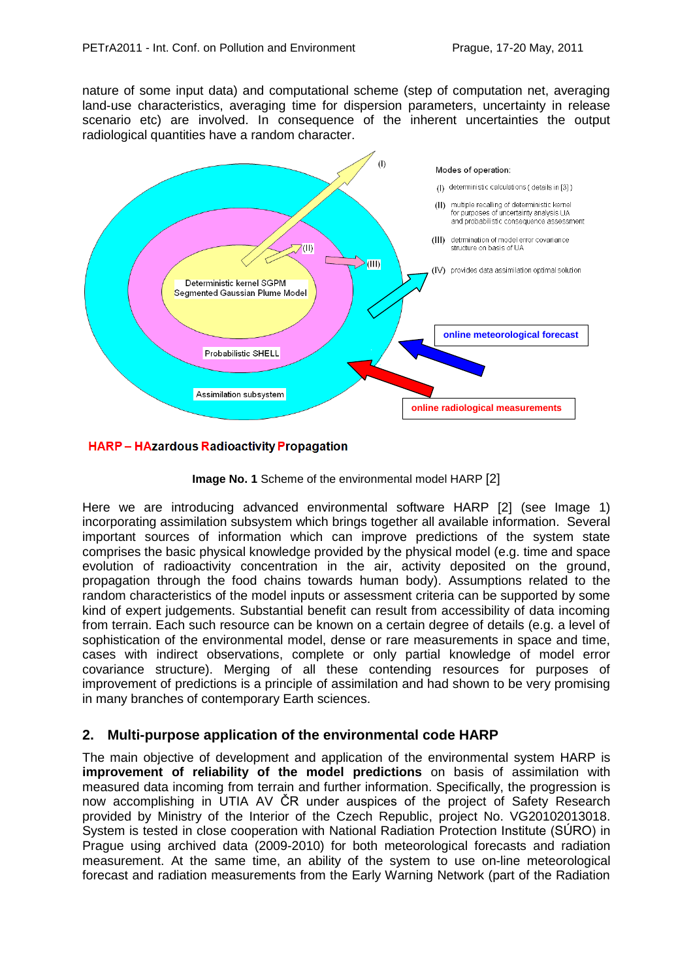nature of some input data) and computational scheme (step of computation net, averaging land-use characteristics, averaging time for dispersion parameters, uncertainty in release scenario etc) are involved. In consequence of the inherent uncertainties the output radiological quantities have a random character.



#### **HARP-HAzardous Radioactivity Propagation**



Here we are introducing advanced environmental software HARP [2] (see Image 1) incorporating assimilation subsystem which brings together all available information. Several important sources of information which can improve predictions of the system state comprises the basic physical knowledge provided by the physical model (e.g. time and space evolution of radioactivity concentration in the air, activity deposited on the ground, propagation through the food chains towards human body). Assumptions related to the random characteristics of the model inputs or assessment criteria can be supported by some kind of expert judgements. Substantial benefit can result from accessibility of data incoming from terrain. Each such resource can be known on a certain degree of details (e.g. a level of sophistication of the environmental model, dense or rare measurements in space and time, cases with indirect observations, complete or only partial knowledge of model error covariance structure). Merging of all these contending resources for purposes of improvement of predictions is a principle of assimilation and had shown to be very promising in many branches of contemporary Earth sciences.

# **2. Multi-purpose application of the environmental code HARP**

The main objective of development and application of the environmental system HARP is **improvement of reliability of the model predictions** on basis of assimilation with measured data incoming from terrain and further information. Specifically, the progression is now accomplishing in UTIA AV ČR under auspices of the project of Safety Research provided by Ministry of the Interior of the Czech Republic, project No. VG20102013018. System is tested in close cooperation with National Radiation Protection Institute (SÚRO) in Prague using archived data (2009-2010) for both meteorological forecasts and radiation measurement. At the same time, an ability of the system to use on-line meteorological forecast and radiation measurements from the Early Warning Network (part of the Radiation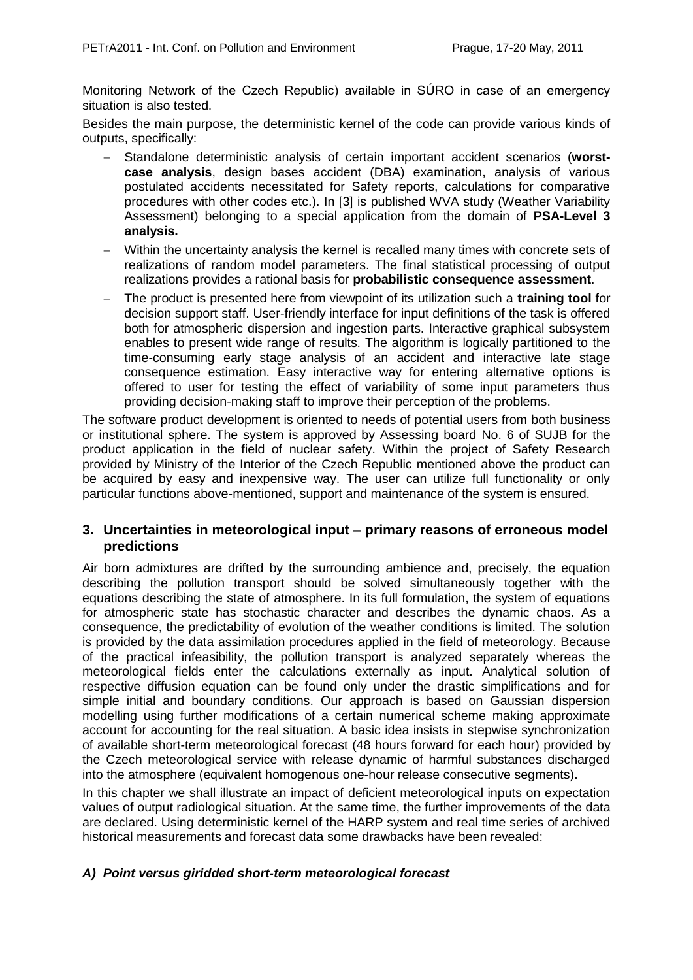Monitoring Network of the Czech Republic) available in SÚRO in case of an emergency situation is also tested.

Besides the main purpose, the deterministic kernel of the code can provide various kinds of outputs, specifically:

- Standalone deterministic analysis of certain important accident scenarios (**worstcase analysis**, design bases accident (DBA) examination, analysis of various postulated accidents necessitated for Safety reports, calculations for comparative procedures with other codes etc.). In [3] is published WVA study (Weather Variability Assessment) belonging to a special application from the domain of **PSA-Level 3 analysis.**
- Within the uncertainty analysis the kernel is recalled many times with concrete sets of realizations of random model parameters. The final statistical processing of output realizations provides a rational basis for **probabilistic consequence assessment**.
- The product is presented here from viewpoint of its utilization such a **training tool** for decision support staff. User-friendly interface for input definitions of the task is offered both for atmospheric dispersion and ingestion parts. Interactive graphical subsystem enables to present wide range of results. The algorithm is logically partitioned to the time-consuming early stage analysis of an accident and interactive late stage consequence estimation. Easy interactive way for entering alternative options is offered to user for testing the effect of variability of some input parameters thus providing decision-making staff to improve their perception of the problems.

The software product development is oriented to needs of potential users from both business or institutional sphere. The system is approved by Assessing board No. 6 of SUJB for the product application in the field of nuclear safety. Within the project of Safety Research provided by Ministry of the Interior of the Czech Republic mentioned above the product can be acquired by easy and inexpensive way. The user can utilize full functionality or only particular functions above-mentioned, support and maintenance of the system is ensured.

# **3. Uncertainties in meteorological input – primary reasons of erroneous model predictions**

Air born admixtures are drifted by the surrounding ambience and, precisely, the equation describing the pollution transport should be solved simultaneously together with the equations describing the state of atmosphere. In its full formulation, the system of equations for atmospheric state has stochastic character and describes the dynamic chaos. As a consequence, the predictability of evolution of the weather conditions is limited. The solution is provided by the data assimilation procedures applied in the field of meteorology. Because of the practical infeasibility, the pollution transport is analyzed separately whereas the meteorological fields enter the calculations externally as input. Analytical solution of respective diffusion equation can be found only under the drastic simplifications and for simple initial and boundary conditions. Our approach is based on Gaussian dispersion modelling using further modifications of a certain numerical scheme making approximate account for accounting for the real situation. A basic idea insists in stepwise synchronization of available short-term meteorological forecast (48 hours forward for each hour) provided by the Czech meteorological service with release dynamic of harmful substances discharged into the atmosphere (equivalent homogenous one-hour release consecutive segments).

In this chapter we shall illustrate an impact of deficient meteorological inputs on expectation values of output radiological situation. At the same time, the further improvements of the data are declared. Using deterministic kernel of the HARP system and real time series of archived historical measurements and forecast data some drawbacks have been revealed:

# *A) Point versus giridded short-term meteorological forecast*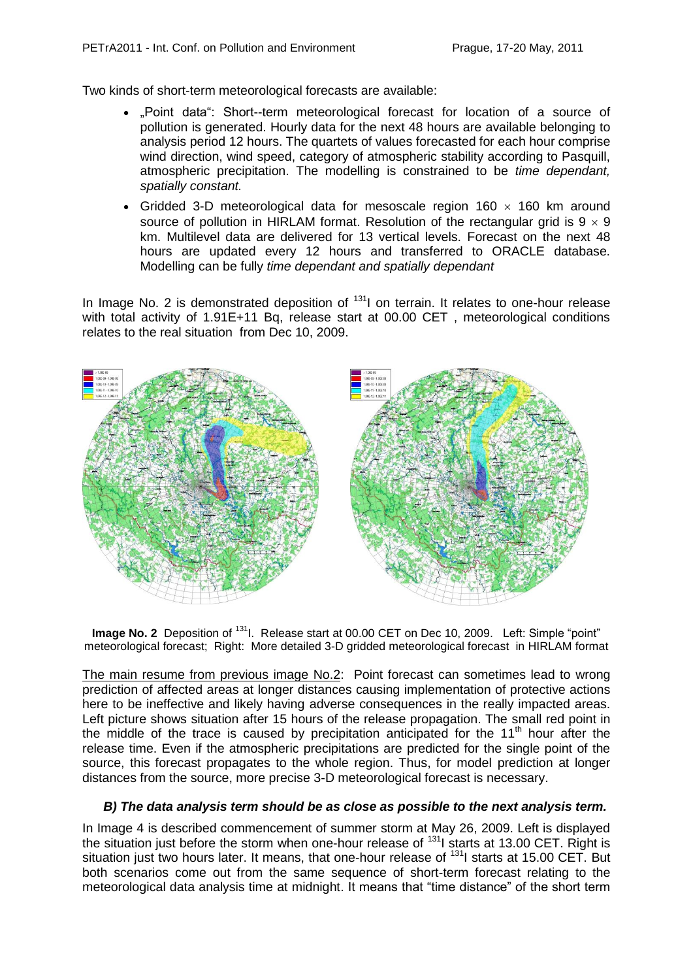Two kinds of short-term meteorological forecasts are available:

- "Point data": Short--term meteorological forecast for location of a source of pollution is generated. Hourly data for the next 48 hours are available belonging to analysis period 12 hours. The quartets of values forecasted for each hour comprise wind direction, wind speed, category of atmospheric stability according to Pasquill, atmospheric precipitation. The modelling is constrained to be *time dependant, spatially constant.*
- Gridded 3-D meteorological data for mesoscale region 160  $\times$  160 km around source of pollution in HIRLAM format. Resolution of the rectangular grid is  $9 \times 9$ km. Multilevel data are delivered for 13 vertical levels. Forecast on the next 48 hours are updated every 12 hours and transferred to ORACLE database. Modelling can be fully *time dependant and spatially dependant*

In Image No. 2 is demonstrated deposition of  $131$  on terrain. It relates to one-hour release with total activity of 1.91E+11 Bq, release start at 00.00 CET, meteorological conditions relates to the real situation from Dec 10, 2009.



**Image No. 2** Deposition of <sup>131</sup>I. Release start at 00.00 CET on Dec 10, 2009. Left: Simple "point" meteorological forecast; Right: More detailed 3-D gridded meteorological forecast in HIRLAM format

The main resume from previous image No.2: Point forecast can sometimes lead to wrong prediction of affected areas at longer distances causing implementation of protective actions here to be ineffective and likely having adverse consequences in the really impacted areas. Left picture shows situation after 15 hours of the release propagation. The small red point in the middle of the trace is caused by precipitation anticipated for the  $11<sup>th</sup>$  hour after the release time. Even if the atmospheric precipitations are predicted for the single point of the source, this forecast propagates to the whole region. Thus, for model prediction at longer distances from the source, more precise 3-D meteorological forecast is necessary.

#### *B) The data analysis term should be as close as possible to the next analysis term.*

In Image 4 is described commencement of summer storm at May 26, 2009. Left is displayed the situation just before the storm when one-hour release of <sup>131</sup>I starts at 13.00 CET. Right is situation just two hours later. It means, that one-hour release of <sup>131</sup>I starts at 15.00 CET. But both scenarios come out from the same sequence of short-term forecast relating to the meteorological data analysis time at midnight. It means that "time distance" of the short term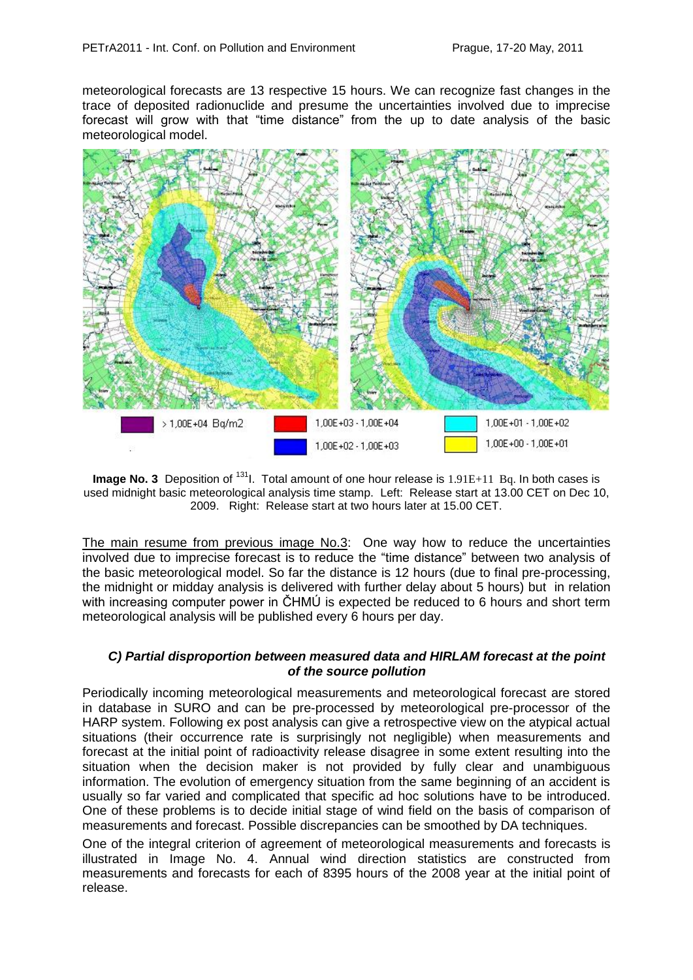meteorological forecasts are 13 respective 15 hours. We can recognize fast changes in the trace of deposited radionuclide and presume the uncertainties involved due to imprecise forecast will grow with that "time distance" from the up to date analysis of the basic meteorological model.



**Image No. 3** Deposition of <sup>131</sup>. Total amount of one hour release is 1.91E+11 Bq. In both cases is used midnight basic meteorological analysis time stamp. Left: Release start at 13.00 CET on Dec 10, 2009. Right: Release start at two hours later at 15.00 CET.

The main resume from previous image No.3: One way how to reduce the uncertainties involved due to imprecise forecast is to reduce the "time distance" between two analysis of the basic meteorological model. So far the distance is 12 hours (due to final pre-processing, the midnight or midday analysis is delivered with further delay about 5 hours) but in relation with increasing computer power in CHMU is expected be reduced to 6 hours and short term meteorological analysis will be published every 6 hours per day.

#### *C) Partial disproportion between measured data and HIRLAM forecast at the point of the source pollution*

Periodically incoming meteorological measurements and meteorological forecast are stored in database in SURO and can be pre-processed by meteorological pre-processor of the HARP system. Following ex post analysis can give a retrospective view on the atypical actual situations (their occurrence rate is surprisingly not negligible) when measurements and forecast at the initial point of radioactivity release disagree in some extent resulting into the situation when the decision maker is not provided by fully clear and unambiguous information. The evolution of emergency situation from the same beginning of an accident is usually so far varied and complicated that specific ad hoc solutions have to be introduced. One of these problems is to decide initial stage of wind field on the basis of comparison of measurements and forecast. Possible discrepancies can be smoothed by DA techniques.

One of the integral criterion of agreement of meteorological measurements and forecasts is illustrated in Image No. 4. Annual wind direction statistics are constructed from measurements and forecasts for each of 8395 hours of the 2008 year at the initial point of release.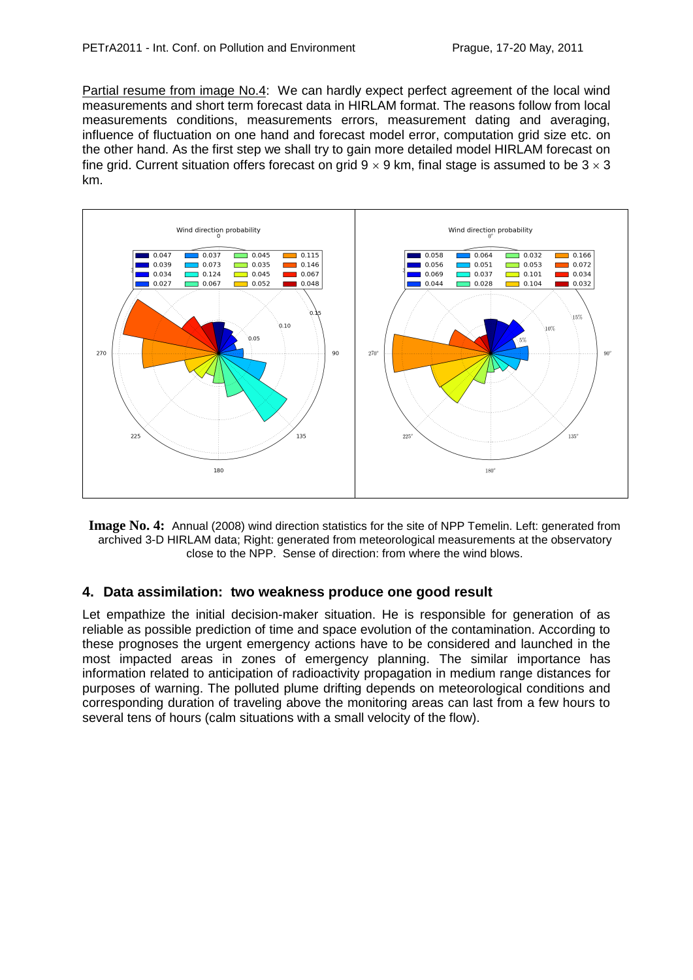Partial resume from image No.4: We can hardly expect perfect agreement of the local wind measurements and short term forecast data in HIRLAM format. The reasons follow from local measurements conditions, measurements errors, measurement dating and averaging, influence of fluctuation on one hand and forecast model error, computation grid size etc. on the other hand. As the first step we shall try to gain more detailed model HIRLAM forecast on fine grid. Current situation offers forecast on grid  $9 \times 9$  km, final stage is assumed to be  $3 \times 3$ km.



**Image No. 4:** Annual (2008) wind direction statistics for the site of NPP Temelin. Left: generated from archived 3-D HIRLAM data; Right: generated from meteorological measurements at the observatory close to the NPP. Sense of direction: from where the wind blows.

# **4. Data assimilation: two weakness produce one good result**

Let empathize the initial decision-maker situation. He is responsible for generation of as reliable as possible prediction of time and space evolution of the contamination. According to these prognoses the urgent emergency actions have to be considered and launched in the most impacted areas in zones of emergency planning. The similar importance has information related to anticipation of radioactivity propagation in medium range distances for purposes of warning. The polluted plume drifting depends on meteorological conditions and corresponding duration of traveling above the monitoring areas can last from a few hours to several tens of hours (calm situations with a small velocity of the flow).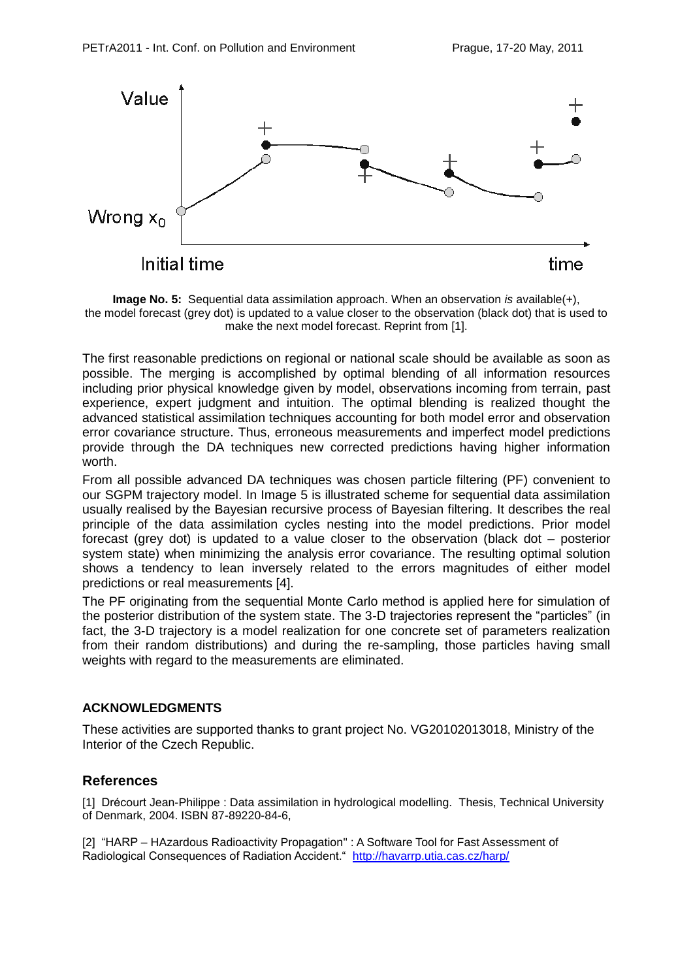

**Image No. 5:** Sequential data assimilation approach. When an observation *is* available(+), the model forecast (grey dot) is updated to a value closer to the observation (black dot) that is used to make the next model forecast. Reprint from [1].

The first reasonable predictions on regional or national scale should be available as soon as possible. The merging is accomplished by optimal blending of all information resources including prior physical knowledge given by model, observations incoming from terrain, past experience, expert judgment and intuition. The optimal blending is realized thought the advanced statistical assimilation techniques accounting for both model error and observation error covariance structure. Thus, erroneous measurements and imperfect model predictions provide through the DA techniques new corrected predictions having higher information worth.

From all possible advanced DA techniques was chosen particle filtering (PF) convenient to our SGPM trajectory model. In Image 5 is illustrated scheme for sequential data assimilation usually realised by the Bayesian recursive process of Bayesian filtering. It describes the real principle of the data assimilation cycles nesting into the model predictions. Prior model forecast (grey dot) is updated to a value closer to the observation (black dot – posterior system state) when minimizing the analysis error covariance. The resulting optimal solution shows a tendency to lean inversely related to the errors magnitudes of either model predictions or real measurements [4].

The PF originating from the sequential Monte Carlo method is applied here for simulation of the posterior distribution of the system state. The 3-D trajectories represent the "particles" (in fact, the 3-D trajectory is a model realization for one concrete set of parameters realization from their random distributions) and during the re-sampling, those particles having small weights with regard to the measurements are eliminated.

#### **ACKNOWLEDGMENTS**

These activities are supported thanks to grant project No. VG20102013018, Ministry of the Interior of the Czech Republic.

# **References**

[1] Drécourt Jean-Philippe : Data assimilation in hydrological modelling. Thesis, Technical University of Denmark, 2004. ISBN 87-89220-84-6,

[2] "HARP – HAzardous Radioactivity Propagation" : A Software Tool for Fast Assessment of Radiological Consequences of Radiation Accident." <http://havarrp.utia.cas.cz/harp/>